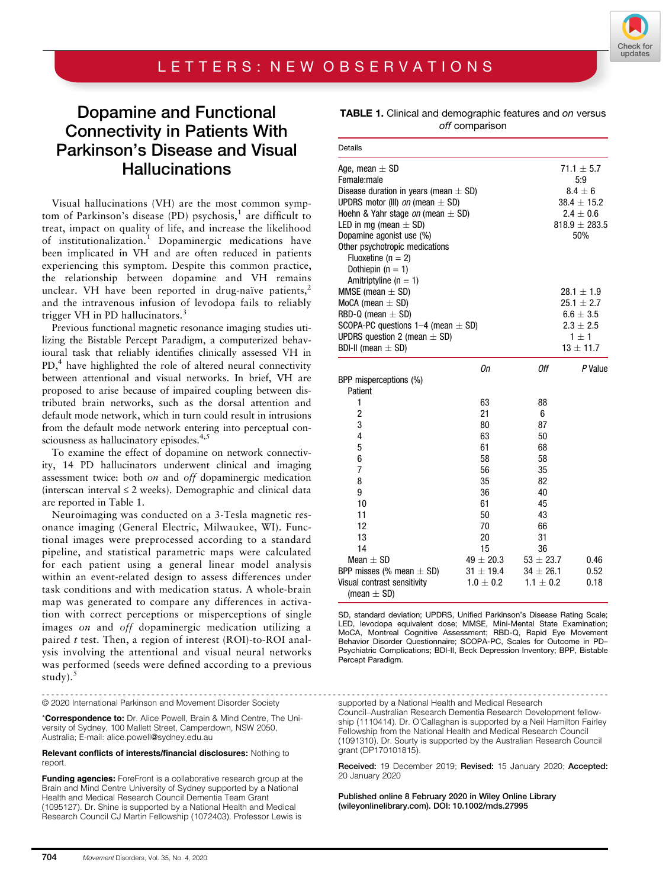## Dopamine and Functional Connectivity in Patients With Parkinson's Disease and Visual **Hallucinations**

Visual hallucinations (VH) are the most common symptom of Parkinson's disease (PD) psychosis, $<sup>1</sup>$  are difficult to</sup> treat, impact on quality of life, and increase the likelihood of institutionalization.<sup>1</sup> Dopaminergic medications have been implicated in VH and are often reduced in patients experiencing this symptom. Despite this common practice, the relationship between dopamine and VH remains unclear. VH have been reported in drug-naïve patients, $2$ and the intravenous infusion of levodopa fails to reliably trigger VH in PD hallucinators.<sup>3</sup>

Previous functional magnetic resonance imaging studies utilizing the Bistable Percept Paradigm, a computerized behavioural task that reliably identifies clinically assessed VH in PD,<sup>4</sup> have highlighted the role of altered neural connectivity between attentional and visual networks. In brief, VH are proposed to arise because of impaired coupling between distributed brain networks, such as the dorsal attention and default mode network, which in turn could result in intrusions from the default mode network entering into perceptual consciousness as hallucinatory episodes.<sup>4,5</sup>

To examine the effect of dopamine on network connectivity, 14 PD hallucinators underwent clinical and imaging assessment twice: both on and off dopaminergic medication (interscan interval  $\leq 2$  weeks). Demographic and clinical data are reported in Table 1.

Neuroimaging was conducted on a 3-Tesla magnetic resonance imaging (General Electric, Milwaukee, WI). Functional images were preprocessed according to a standard pipeline, and statistical parametric maps were calculated for each patient using a general linear model analysis within an event-related design to assess differences under task conditions and with medication status. A whole-brain map was generated to compare any differences in activation with correct perceptions or misperceptions of single images on and off dopaminergic medication utilizing a paired t test. Then, a region of interest (ROI)-to-ROI analysis involving the attentional and visual neural networks was performed (seeds were defined according to a previous study).<sup>5</sup>

----------------------------------------------------------------------------------------------------------------------- © 2020 International Parkinson and Movement Disorder Society

\*Correspondence to: Dr. Alice Powell, Brain & Mind Centre, The University of Sydney, 100 Mallett Street, Camperdown, NSW 2050, Australia; E-mail: [alice.powell@sydney.edu.au](mailto:alice.powell@sydney.edu.au)

## Relevant conflicts of interests/financial disclosures: Nothing to report.

Funding agencies: ForeFront is a collaborative research group at the Brain and Mind Centre University of Sydney supported by a National Health and Medical Research Council Dementia Team Grant (1095127). Dr. Shine is supported by a National Health and Medical Research Council CJ Martin Fellowship (1072403). Professor Lewis is

| <b>TABLE 1.</b> Clinical and demographic features and on versus |  |
|-----------------------------------------------------------------|--|
| off comparison                                                  |  |

| Details                                                                        |                                |                                |                                    |
|--------------------------------------------------------------------------------|--------------------------------|--------------------------------|------------------------------------|
| Age, mean $\pm$ SD<br>Female:male<br>Disease duration in years (mean $\pm$ SD) |                                |                                | $71.1 \pm 5.7$<br>5:9<br>$8.4 + 6$ |
| UPDRS motor (III) <i>on</i> (mean $\pm$ SD)                                    |                                |                                | $38.4 \pm 15.2$                    |
| Hoehn & Yahr stage on (mean $\pm$ SD)                                          |                                |                                | $2.4 \pm 0.6$                      |
| LED in mg (mean $\pm$ SD)                                                      |                                |                                | $818.9 \pm 283.5$                  |
| Dopamine agonist use (%)                                                       |                                |                                | 50%                                |
| Other psychotropic medications                                                 |                                |                                |                                    |
| Fluoxetine ( $n = 2$ )                                                         |                                |                                |                                    |
| Dothiepin $(n = 1)$                                                            |                                |                                |                                    |
| Amitriptyline ( $n = 1$ )                                                      |                                |                                |                                    |
| MMSE (mean $\pm$ SD)                                                           |                                |                                | $28.1 \pm 1.9$                     |
| MoCA (mean $\pm$ SD)                                                           |                                |                                | $25.1 \pm 2.7$                     |
| RBD-Q (mean $\pm$ SD)                                                          |                                |                                | $6.6 \pm 3.5$                      |
| SCOPA-PC questions $1-4$ (mean $\pm$ SD)                                       |                                |                                | $2.3 \pm 2.5$                      |
| UPDRS question 2 (mean $\pm$ SD)                                               |                                |                                | $1 \pm 1$                          |
| BDI-II (mean $\pm$ SD)                                                         |                                |                                | $13 \pm 11.7$                      |
|                                                                                | Оn                             | Оff                            | P Value                            |
| BPP misperceptions (%)                                                         |                                |                                |                                    |
| Patient                                                                        |                                |                                |                                    |
| 1                                                                              | 63                             | 88                             |                                    |
| $\overline{\mathbf{c}}$                                                        | 21                             | 6                              |                                    |
| 3                                                                              | 80                             | 87                             |                                    |
| 4                                                                              | 63                             | 50                             |                                    |
| 5                                                                              | 61                             | 68                             |                                    |
| 6                                                                              | 58                             | 58                             |                                    |
| $\overline{7}$                                                                 | 56                             | 35                             |                                    |
| 8                                                                              | 35                             | 82                             |                                    |
| 9                                                                              | 36                             | 40                             |                                    |
| 10                                                                             | 61                             | 45                             |                                    |
| 11                                                                             | 50                             | 43                             |                                    |
| 12                                                                             | 70                             | 66                             |                                    |
| 13                                                                             | 20                             | 31                             |                                    |
| 14                                                                             | 15                             | 36                             |                                    |
| Mean $+$ SD                                                                    | $49 \pm 20.3$                  | $53 \pm 23.7$                  | 0.46                               |
| BPP misses (% mean $\pm$ SD)<br>Visual contrast sensitivity                    | $31 \pm 19.4$<br>$1.0 \pm 0.2$ | $34 \pm 26.1$<br>$1.1 \pm 0.2$ | 0.52<br>0.18                       |
| (mean $\pm$ SD)                                                                |                                |                                |                                    |

SD, standard deviation; UPDRS, Unified Parkinson's Disease Rating Scale; LED, levodopa equivalent dose; MMSE, Mini-Mental State Examination; MoCA, Montreal Cognitive Assessment; RBD-Q, Rapid Eye Movement Behavior Disorder Questionnaire; SCOPA-PC, Scales for Outcome in PD– Psychiatric Complications; BDI-II, Beck Depression Inventory; BPP, Bistable Percept Paradigm.

supported by a National Health and Medical Research

Council–Australian Research Dementia Research Development fellowship (1110414). Dr. O'Callaghan is supported by a Neil Hamilton Fairley Fellowship from the National Health and Medical Research Council (1091310). Dr. Sourty is supported by the Australian Research Council grant (DP170101815).

Received: 19 December 2019; Revised: 15 January 2020; Accepted: 20 January 2020

Published online 8 February 2020 in Wiley Online Library (wileyonlinelibrary.com). DOI: 10.1002/mds.27995